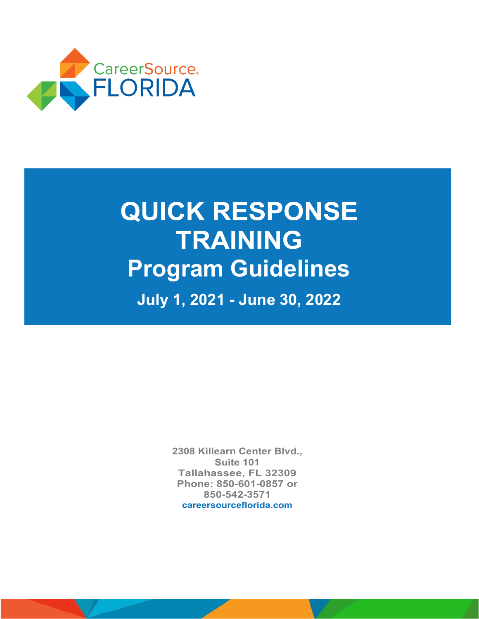

# **QUICK RESPONSE TRAINING Program Guidelines July 1, 2021 - June 30, 2022**

**2308 Killearn Center Blvd., Suite 101 Tallahassee, FL 32309 Phone: 850-601-0857 or 850-542-3571 [careersourceflorida.com](https://careersourceflorida.com/)**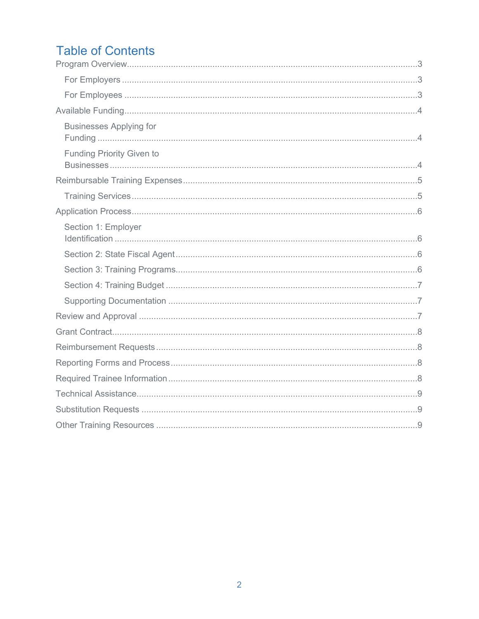## **Table of Contents**

| <b>Businesses Applying for</b>   |  |
|----------------------------------|--|
| <b>Funding Priority Given to</b> |  |
|                                  |  |
|                                  |  |
|                                  |  |
| Section 1: Employer              |  |
|                                  |  |
|                                  |  |
|                                  |  |
|                                  |  |
|                                  |  |
|                                  |  |
|                                  |  |
|                                  |  |
|                                  |  |
|                                  |  |
|                                  |  |
|                                  |  |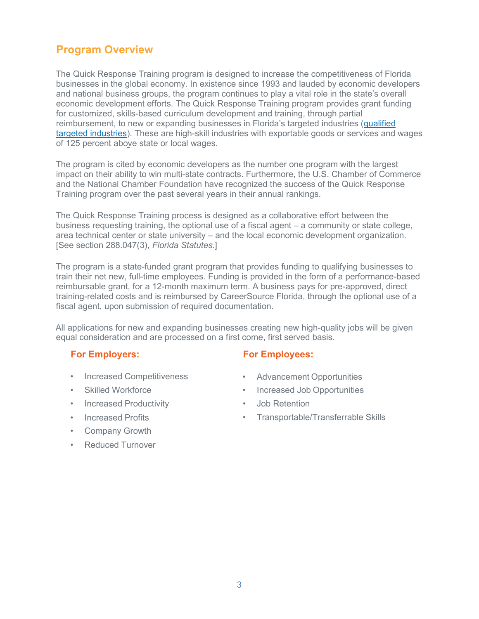## <span id="page-2-0"></span>**Program Overview**

The Quick Response Training program is designed to increase the competitiveness of Florida businesses in the global economy. In existence since 1993 and lauded by economic developers and national business groups, the program continues to play a vital role in the state's overall economic development efforts. The Quick Response Training program provides grant funding for customized, skills-based curriculum development and training, through partial reimbursement, to new or expanding businesses in Florida's targeted industries [\(qualified](http://careersourceflorida.com/wp-content/uploads/2015/11/Targeted_Industries.pdf) [targeted industries\).](http://careersourceflorida.com/wp-content/uploads/2015/11/Targeted_Industries.pdf) These are high-skill industries with exportable goods or services and wages of 125 percent above state or local wages.

The program is cited by economic developers as the number one program with the largest impact on their ability to win multi-state contracts. Furthermore, the U.S. Chamber of Commerce and the National Chamber Foundation have recognized the success of the Quick Response Training program over the past several years in their annual rankings.

The Quick Response Training process is designed as a collaborative effort between the business requesting training, the optional use of a fiscal agent – a community or state college, area technical center or state university – and the local economic development organization. [See section 288.047(3), *Florida Statutes*.]

The program is a state-funded grant program that provides funding to qualifying businesses to train their net new, full-time employees. Funding is provided in the form of a performance-based reimbursable grant, for a 12-month maximum term. A business pays for pre-approved, direct training-related costs and is reimbursed by CareerSource Florida, through the optional use of a fiscal agent, upon submission of required documentation.

All applications for new and expanding businesses creating new high-quality jobs will be given equal consideration and are processed on a first come, first served basis.

#### <span id="page-2-1"></span>**For Employers:**

- Increased Competitiveness
- Skilled Workforce
- Increased Productivity
- Increased Profits
- Company Growth
- **Reduced Turnover**

#### <span id="page-2-2"></span>**For Employees:**

- Advancement Opportunities
- Increased Job Opportunities
- Job Retention
- Transportable/Transferrable Skills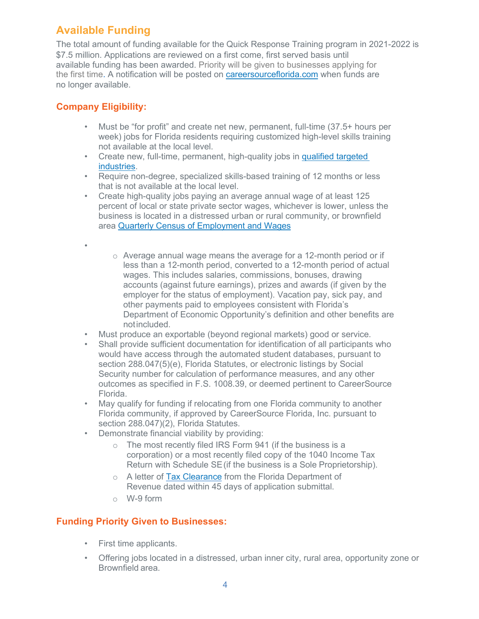## <span id="page-3-0"></span>**Available Funding**

The total amount of funding available for the Quick Response Training program in 2021-2022 is \$7.5 million. Applications are reviewed on a first come, first served basis until available funding has been awarded. Priority will be given to businesses applying for the first time. A notification will be posted on [careersourceflorida.com](http://careersourceflorida.com/) when funds are no longer available.

## <span id="page-3-1"></span>**Company Eligibility:**

- Must be "for profit" and create net new, permanent, full-time (37.5+ hours per week) jobs for Florida residents requiring customized high-level skills training not available at the local level.
- Create new, full-time, permanent, high-quality jobs in [qualified targeted](http://careersourceflorida.com/wp-content/uploads/2015/11/Targeted_Industries.pdf) [industries.](http://careersourceflorida.com/wp-content/uploads/2015/11/Targeted_Industries.pdf)
- Require non-degree, specialized skills-based training of 12 months or less that is not available at the local level.
- Create high-quality jobs paying an average annual wage of at least 125 percent of local or state private sector wages, whichever is lower, unless the business is located in a distressed urban or rural community, or brownfield area [Quarterly Census of Employment and Wages](https://www.enterpriseflorida.com/wp-content/uploads/incentive-avg-wage-requirements-msa.pdf)
- •
- o Average annual wage means the average for a 12-month period or if less than a 12-month period, converted to a 12-month period of actual wages. This includes salaries, commissions, bonuses, drawing accounts (against future earnings), prizes and awards (if given by the employer for the status of employment). Vacation pay, sick pay, and other payments paid to employees consistent with Florida's Department of Economic Opportunity's definition and other benefits are notincluded.
- Must produce an exportable (beyond regional markets) good or service.
- Shall provide sufficient documentation for identification of all participants who would have access through the automated student databases, pursuant to section 288.047(5)(e), Florida Statutes, or electronic listings by Social Security number for calculation of performance measures, and any other outcomes as specified in F.S. 1008.39, or deemed pertinent to CareerSource Florida.
- May qualify for funding if relocating from one Florida community to another Florida community, if approved by CareerSource Florida, Inc. pursuant to section 288.047)(2), Florida Statutes.
- Demonstrate financial viability by providing:
	- o The most recently filed IRS Form 941 (if the business is a corporation) or a most recently filed copy of the 1040 Income Tax Return with Schedule SE(if the business is a Sole Proprietorship).
	- o A letter [of](https://taxapps.state.fl.us/TaxClearanceLetter/) [Tax Clearance](https://taxapps.state.fl.us/TaxClearanceLetter/) from the Florida Department of Revenue dated within 45 days of application submittal.
	- o W-9 form

#### <span id="page-3-2"></span>**Funding Priority Given to Businesses:**

- First time applicants.
- Offering jobs located in a distressed, urban inner city, rural area, opportunity zone or Brownfield area.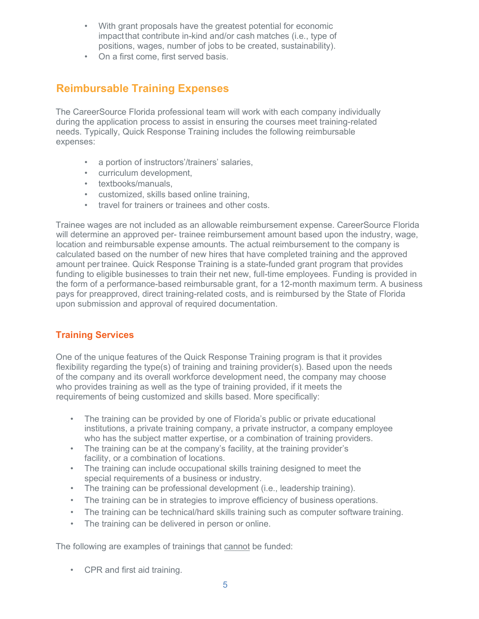- With grant proposals have the greatest potential for economic impactthat contribute in-kind and/or cash matches (i.e., type of positions, wages, number of jobs to be created, sustainability).
- On a first come, first served basis.

## <span id="page-4-0"></span>**Reimbursable Training Expenses**

The CareerSource Florida professional team will work with each company individually during the application process to assist in ensuring the courses meet training-related needs. Typically, Quick Response Training includes the following reimbursable expenses:

- a portion of instructors'/trainers' salaries,
- curriculum development,
- textbooks/manuals,
- customized, skills based online training,
- travel for trainers or trainees and other costs.

Trainee wages are not included as an allowable reimbursement expense. CareerSource Florida will determine an approved per- trainee reimbursement amount based upon the industry, wage, location and reimbursable expense amounts. The actual reimbursement to the company is calculated based on the number of new hires that have completed training and the approved amount per trainee. Quick Response Training is a state-funded grant program that provides funding to eligible businesses to train their net new, full-time employees. Funding is provided in the form of a performance-based reimbursable grant, for a 12-month maximum term. A business pays for preapproved, direct training-related costs, and is reimbursed by the State of Florida upon submission and approval of required documentation.

#### <span id="page-4-1"></span>**Training Services**

One of the unique features of the Quick Response Training program is that it provides flexibility regarding the type(s) of training and training provider(s). Based upon the needs of the company and its overall workforce development need, the company may choose who provides training as well as the type of training provided, if it meets the requirements of being customized and skills based. More specifically:

- The training can be provided by one of Florida's public or private educational institutions, a private training company, a private instructor, a company employee who has the subject matter expertise, or a combination of training providers.
- The training can be at the company's facility, at the training provider's facility, or a combination of locations.
- The training can include occupational skills training designed to meet the special requirements of a business or industry.
- The training can be professional development (i.e., leadership training).
- The training can be in strategies to improve efficiency of business operations.
- The training can be technical/hard skills training such as computer software training.
- The training can be delivered in person or online.

The following are examples of trainings that cannot be funded:

• CPR and first aid training.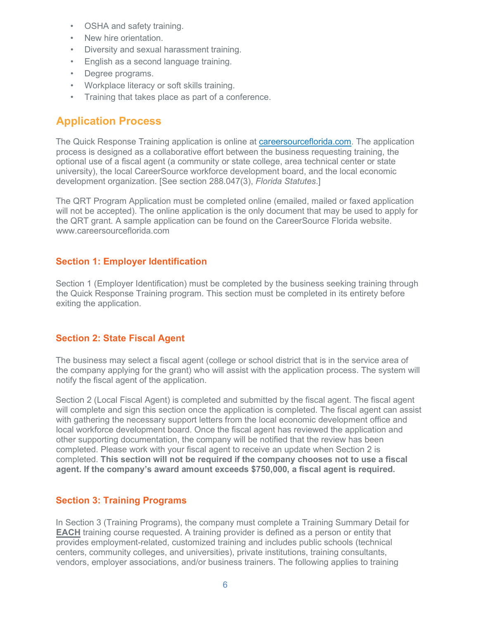- OSHA and safety training.
- New hire orientation.
- Diversity and sexual harassment training.
- English as a second language training.
- Degree programs.
- Workplace literacy or soft skills training.
- Training that takes place as part of a conference.

## <span id="page-5-0"></span>**Application Process**

The Quick Response Training application is online at [careersourceflorida.com. T](http://careersourceflorida.com/)he application process is designed as a collaborative effort between the business requesting training, the optional use of a fiscal agent (a community or state college, area technical center or state university), the local CareerSource workforce development board, and the local economic development organization. [See section 288.047(3), *Florida Statutes*.]

The QRT Program Application must be completed online (emailed, mailed or faxed application will not be accepted). The online application is the only document that may be used to apply for the QRT grant. A sample application can be found on the CareerSource Florida website. [www.careersourceflorida.com](http://www.careersourceflorida.com/)

#### <span id="page-5-1"></span>**Section 1: Employer Identification**

Section 1 (Employer Identification) must be completed by the business seeking training through the Quick Response Training program. This section must be completed in its entirety before exiting the application.

#### <span id="page-5-2"></span>**Section 2: State Fiscal Agent**

The business may select a fiscal agent (college or school district that is in the service area of the company applying for the grant) who will assist with the application process. The system will notify the fiscal agent of the application.

Section 2 (Local Fiscal Agent) is completed and submitted by the fiscal agent. The fiscal agent will complete and sign this section once the application is completed. The fiscal agent can assist with gathering the necessary support letters from the local economic development office and local workforce development board. Once the fiscal agent has reviewed the application and other supporting documentation, the company will be notified that the review has been completed. Please work with your fiscal agent to receive an update when Section 2 is completed. **This section will not be required if the company chooses not to use a fiscal agent. If the company's award amount exceeds \$750,000, a fiscal agent is required.**

#### <span id="page-5-3"></span>**Section 3: Training Programs**

In Section 3 (Training Programs), the company must complete a Training Summary Detail for **EACH** training course requested. A training provider is defined as a person or entity that provides employment-related, customized training and includes public schools (technical centers, community colleges, and universities), private institutions, training consultants, vendors, employer associations, and/or business trainers. The following applies to training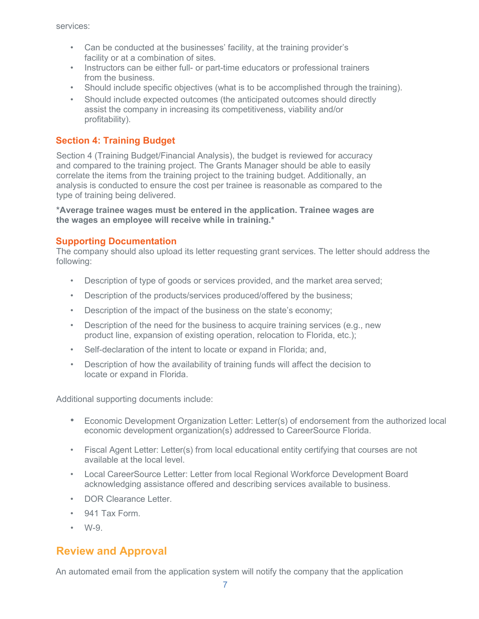services:

- Can be conducted at the businesses' facility, at the training provider's facility or at a combination of sites.
- Instructors can be either full- or part-time educators or professional trainers from the business.
- Should include specific objectives (what is to be accomplished through the training).
- Should include expected outcomes (the anticipated outcomes should directly assist the company in increasing its competitiveness, viability and/or profitability).

#### **Section 4: Training Budget**

Section 4 (Training Budget/Financial Analysis), the budget is reviewed for accuracy and compared to the training project. The Grants Manager should be able to easily correlate the items from the training project to the training budget. Additionally, an analysis is conducted to ensure the cost per trainee is reasonable as compared to the type of training being delivered.

**\*Average trainee wages must be entered in the application. Trainee wages are the wages an employee will receive while in training.\***

#### **Supporting Documentation**

The company should also upload its letter requesting grant services. The letter should address the following:

- Description of type of goods or services provided, and the market area served;
- Description of the products/services produced/offered by the business;
- Description of the impact of the business on the state's economy;
- Description of the need for the business to acquire training services (e.g., new product line, expansion of existing operation, relocation to Florida, etc.);
- Self-declaration of the intent to locate or expand in Florida; and,
- Description of how the availability of training funds will affect the decision to locate or expand in Florida.

Additional supporting documents include:

- Economic Development Organization Letter: Letter(s) of endorsement from the authorized local economic development organization(s) addressed to CareerSource Florida.
- Fiscal Agent Letter: Letter(s) from local educational entity certifying that courses are not available at the local level.
- Local CareerSource Letter: Letter from local Regional Workforce Development Board acknowledging assistance offered and describing services available to business.
- DOR Clearance Letter.
- 941 Tax Form.
- W-9.

## <span id="page-6-0"></span>**Review and Approval**

An automated email from the application system will notify the company that the application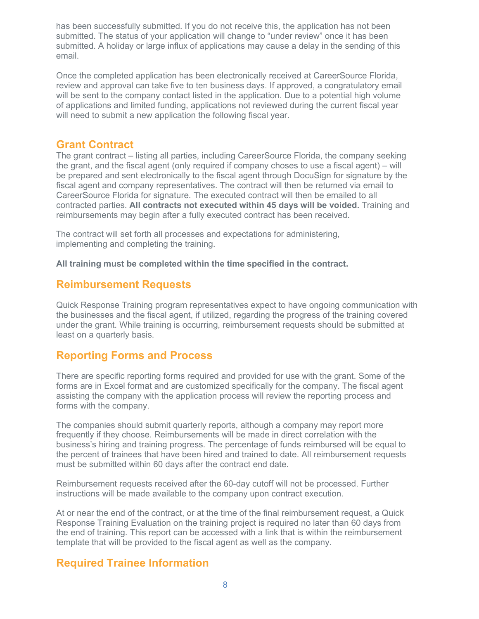has been successfully submitted. If you do not receive this, the application has not been submitted. The status of your application will change to "under review" once it has been submitted. A holiday or large influx of applications may cause a delay in the sending of this email.

Once the completed application has been electronically received at CareerSource Florida, review and approval can take five to ten business days. If approved, a congratulatory email will be sent to the company contact listed in the application. Due to a potential high volume of applications and limited funding, applications not reviewed during the current fiscal year will need to submit a new application the following fiscal year.

#### <span id="page-7-0"></span>**Grant Contract**

The grant contract – listing all parties, including CareerSource Florida, the company seeking the grant, and the fiscal agent (only required if company choses to use a fiscal agent) – will be prepared and sent electronically to the fiscal agent through DocuSign for signature by the fiscal agent and company representatives. The contract will then be returned via email to CareerSource Florida for signature. The executed contract will then be emailed to all contracted parties. **All contracts not executed within 45 days will be voided.** Training and reimbursements may begin after a fully executed contract has been received.

The contract will set forth all processes and expectations for administering, implementing and completing the training.

<span id="page-7-1"></span>**All training must be completed within the time specified in the contract.**

## **Reimbursement Requests**

Quick Response Training program representatives expect to have ongoing communication with the businesses and the fiscal agent, if utilized, regarding the progress of the training covered under the grant. While training is occurring, reimbursement requests should be submitted at least on a quarterly basis.

## <span id="page-7-2"></span>**Reporting Forms and Process**

There are specific reporting forms required and provided for use with the grant. Some of the forms are in Excel format and are customized specifically for the company. The fiscal agent assisting the company with the application process will review the reporting process and forms with the company.

The companies should submit quarterly reports, although a company may report more frequently if they choose. Reimbursements will be made in direct correlation with the business's hiring and training progress. The percentage of funds reimbursed will be equal to the percent of trainees that have been hired and trained to date. All reimbursement requests must be submitted within 60 days after the contract end date.

Reimbursement requests received after the 60-day cutoff will not be processed. Further instructions will be made available to the company upon contract execution.

At or near the end of the contract, or at the time of the final reimbursement request, a Quick Response Training Evaluation on the training project is required no later than 60 days from the end of training. This report can be accessed with a link that is within the reimbursement template that will be provided to the fiscal agent as well as the company.

## <span id="page-7-3"></span>**Required Trainee Information**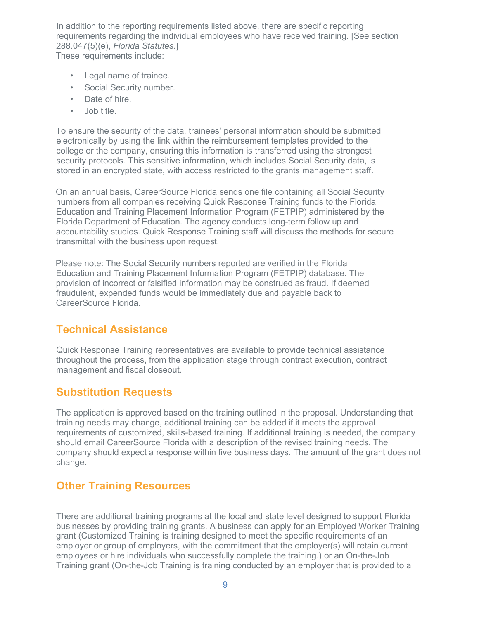In addition to the reporting requirements listed above, there are specific reporting requirements regarding the individual employees who have received training. [See section 288.047(5)(e), *Florida Statutes*.]

These requirements include:

- Legal name of trainee.
- Social Security number.
- Date of hire.
- Job title.

To ensure the security of the data, trainees' personal information should be submitted electronically by using the link within the reimbursement templates provided to the college or the company, ensuring this information is transferred using the strongest security protocols. This sensitive information, which includes Social Security data, is stored in an encrypted state, with access restricted to the grants management staff.

On an annual basis, CareerSource Florida sends one file containing all Social Security numbers from all companies receiving Quick Response Training funds to the Florida Education and Training Placement Information Program (FETPIP) administered by the Florida Department of Education. The agency conducts long-term follow up and accountability studies. Quick Response Training staff will discuss the methods for secure transmittal with the business upon request.

Please note: The Social Security numbers reported are verified in the Florida Education and Training Placement Information Program (FETPIP) database. The provision of incorrect or falsified information may be construed as fraud. If deemed fraudulent, expended funds would be immediately due and payable back to CareerSource Florida.

## <span id="page-8-0"></span>**Technical Assistance**

Quick Response Training representatives are available to provide technical assistance throughout the process, from the application stage through contract execution, contract management and fiscal closeout.

## <span id="page-8-1"></span>**Substitution Requests**

The application is approved based on the training outlined in the proposal. Understanding that training needs may change, additional training can be added if it meets the approval requirements of customized, skills-based training. If additional training is needed, the company should email CareerSource Florida with a description of the revised training needs. The company should expect a response within five business days. The amount of the grant does not change.

## <span id="page-8-2"></span>**Other Training Resources**

There are additional training programs at the local and state level designed to support Florida businesses by providing training grants. A business can apply for an Employed Worker Training grant (Customized Training is training designed to meet the specific requirements of an employer or group of employers, with the commitment that the employer(s) will retain current employees or hire individuals who successfully complete the training.) or an On-the-Job Training grant (On-the-Job Training is training conducted by an employer that is provided to a